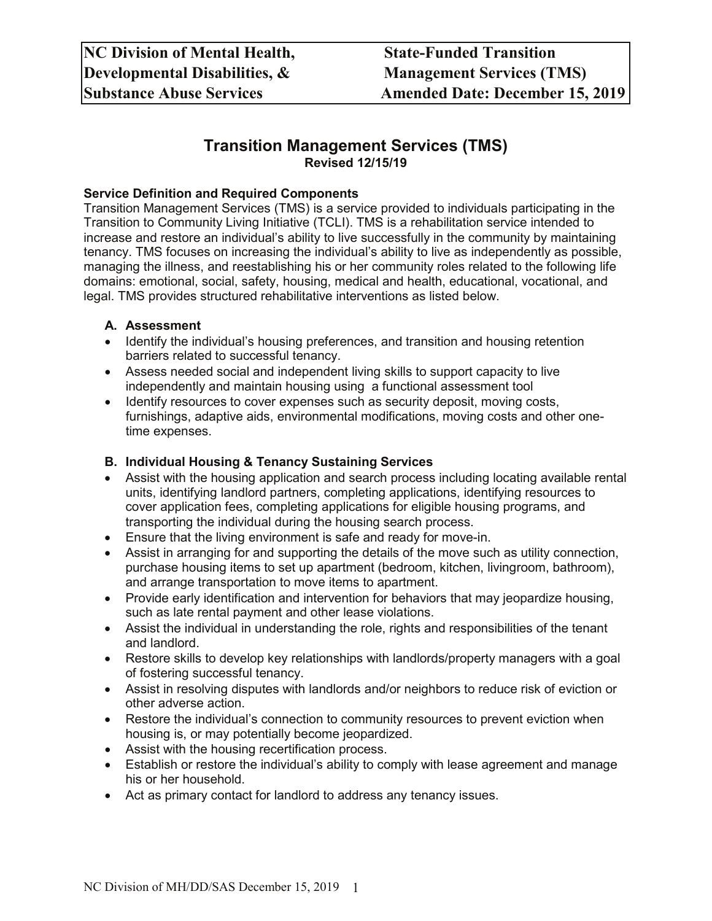# **Transition Management Services (TMS) Revised 12/15/19**

#### **Service Definition and Required Components**

Transition Management Services (TMS) is a service provided to individuals participating in the Transition to Community Living Initiative (TCLI). TMS is a rehabilitation service intended to increase and restore an individual's ability to live successfully in the community by maintaining tenancy. TMS focuses on increasing the individual's ability to live as independently as possible, managing the illness, and reestablishing his or her community roles related to the following life domains: emotional, social, safety, housing, medical and health, educational, vocational, and legal. TMS provides structured rehabilitative interventions as listed below.

#### **A. Assessment**

- Identify the individual's housing preferences, and transition and housing retention barriers related to successful tenancy.
- Assess needed social and independent living skills to support capacity to live independently and maintain housing using a functional assessment tool
- Identify resources to cover expenses such as security deposit, moving costs, furnishings, adaptive aids, environmental modifications, moving costs and other onetime expenses.

## **B. Individual Housing & Tenancy Sustaining Services**

- Assist with the housing application and search process including locating available rental units, identifying landlord partners, completing applications, identifying resources to cover application fees, completing applications for eligible housing programs, and transporting the individual during the housing search process.
- Ensure that the living environment is safe and ready for move-in.
- Assist in arranging for and supporting the details of the move such as utility connection, purchase housing items to set up apartment (bedroom, kitchen, livingroom, bathroom), and arrange transportation to move items to apartment.
- Provide early identification and intervention for behaviors that may jeopardize housing, such as late rental payment and other lease violations.
- Assist the individual in understanding the role, rights and responsibilities of the tenant and landlord.
- Restore skills to develop key relationships with landlords/property managers with a goal of fostering successful tenancy.
- Assist in resolving disputes with landlords and/or neighbors to reduce risk of eviction or other adverse action.
- Restore the individual's connection to community resources to prevent eviction when housing is, or may potentially become jeopardized.
- Assist with the housing recertification process.
- Establish or restore the individual's ability to comply with lease agreement and manage his or her household.
- Act as primary contact for landlord to address any tenancy issues.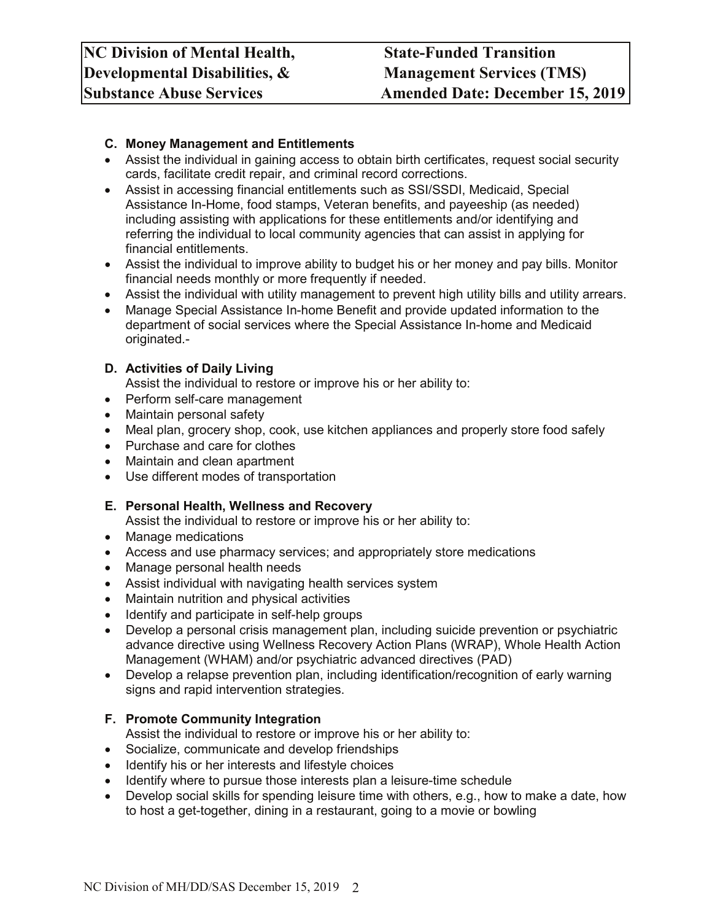### **C. Money Management and Entitlements**

- Assist the individual in gaining access to obtain birth certificates, request social security cards, facilitate credit repair, and criminal record corrections.
- Assist in accessing financial entitlements such as SSI/SSDI, Medicaid, Special Assistance In-Home, food stamps, Veteran benefits, and payeeship (as needed) including assisting with applications for these entitlements and/or identifying and referring the individual to local community agencies that can assist in applying for financial entitlements.
- Assist the individual to improve ability to budget his or her money and pay bills. Monitor financial needs monthly or more frequently if needed.
- Assist the individual with utility management to prevent high utility bills and utility arrears.
- Manage Special Assistance In-home Benefit and provide updated information to the department of social services where the Special Assistance In-home and Medicaid originated.-

#### **D. Activities of Daily Living**

Assist the individual to restore or improve his or her ability to:

- Perform self-care management
- Maintain personal safety
- Meal plan, grocery shop, cook, use kitchen appliances and properly store food safely
- Purchase and care for clothes
- Maintain and clean apartment
- Use different modes of transportation

#### **E. Personal Health, Wellness and Recovery**

Assist the individual to restore or improve his or her ability to:

- Manage medications
- Access and use pharmacy services; and appropriately store medications
- Manage personal health needs
- Assist individual with navigating health services system
- Maintain nutrition and physical activities
- Identify and participate in self-help groups
- Develop a personal crisis management plan, including suicide prevention or psychiatric advance directive using Wellness Recovery Action Plans (WRAP), Whole Health Action Management (WHAM) and/or psychiatric advanced directives (PAD)
- Develop a relapse prevention plan, including identification/recognition of early warning signs and rapid intervention strategies.

#### **F. Promote Community Integration**

Assist the individual to restore or improve his or her ability to:

- Socialize, communicate and develop friendships
- Identify his or her interests and lifestyle choices
- Identify where to pursue those interests plan a leisure-time schedule
- Develop social skills for spending leisure time with others, e.g., how to make a date, how to host a get-together, dining in a restaurant, going to a movie or bowling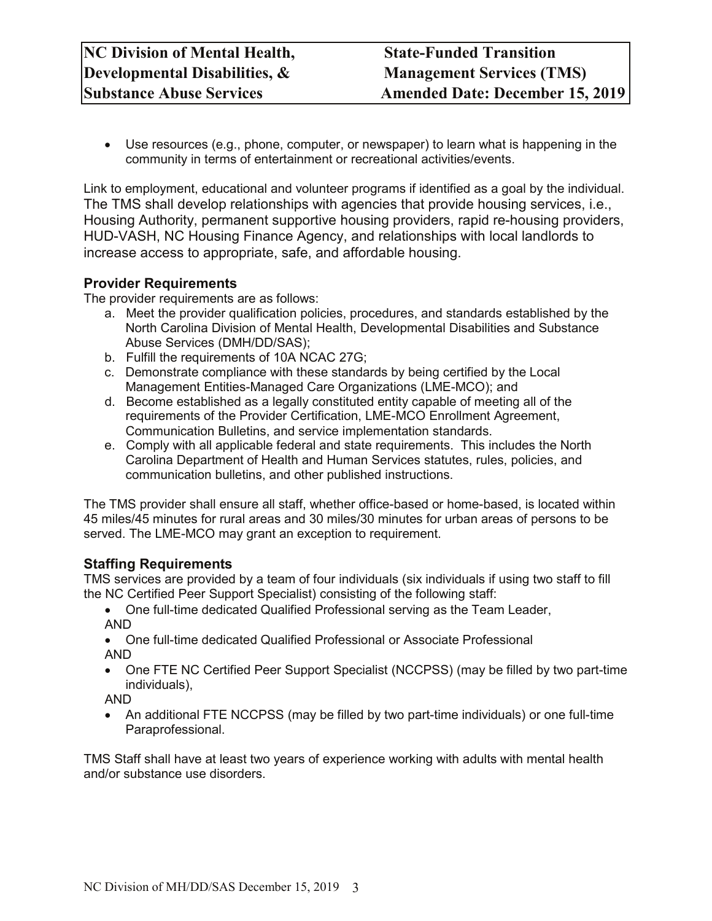• Use resources (e.g., phone, computer, or newspaper) to learn what is happening in the community in terms of entertainment or recreational activities/events.

Link to employment, educational and volunteer programs if identified as a goal by the individual. The TMS shall develop relationships with agencies that provide housing services, i.e., Housing Authority, permanent supportive housing providers, rapid re-housing providers, HUD-VASH, NC Housing Finance Agency, and relationships with local landlords to increase access to appropriate, safe, and affordable housing.

# **Provider Requirements**

The provider requirements are as follows:

- a. Meet the provider qualification policies, procedures, and standards established by the North Carolina Division of Mental Health, Developmental Disabilities and Substance Abuse Services (DMH/DD/SAS);
- b. Fulfill the requirements of 10A NCAC 27G;
- c. Demonstrate compliance with these standards by being certified by the Local Management Entities-Managed Care Organizations (LME-MCO); and
- d. Become established as a legally constituted entity capable of meeting all of the requirements of the Provider Certification, LME-MCO Enrollment Agreement, Communication Bulletins, and service implementation standards.
- e. Comply with all applicable federal and state requirements. This includes the North Carolina Department of Health and Human Services statutes, rules, policies, and communication bulletins, and other published instructions.

The TMS provider shall ensure all staff, whether office-based or home-based, is located within 45 miles/45 minutes for rural areas and 30 miles/30 minutes for urban areas of persons to be served. The LME-MCO may grant an exception to requirement.

# **Staffing Requirements**

TMS services are provided by a team of four individuals (six individuals if using two staff to fill the NC Certified Peer Support Specialist) consisting of the following staff:

• One full-time dedicated Qualified Professional serving as the Team Leader, AND

- One full-time dedicated Qualified Professional or Associate Professional AND
- One FTE NC Certified Peer Support Specialist (NCCPSS) (may be filled by two part-time individuals),

AND

• An additional FTE NCCPSS (may be filled by two part-time individuals) or one full-time Paraprofessional.

TMS Staff shall have at least two years of experience working with adults with mental health and/or substance use disorders.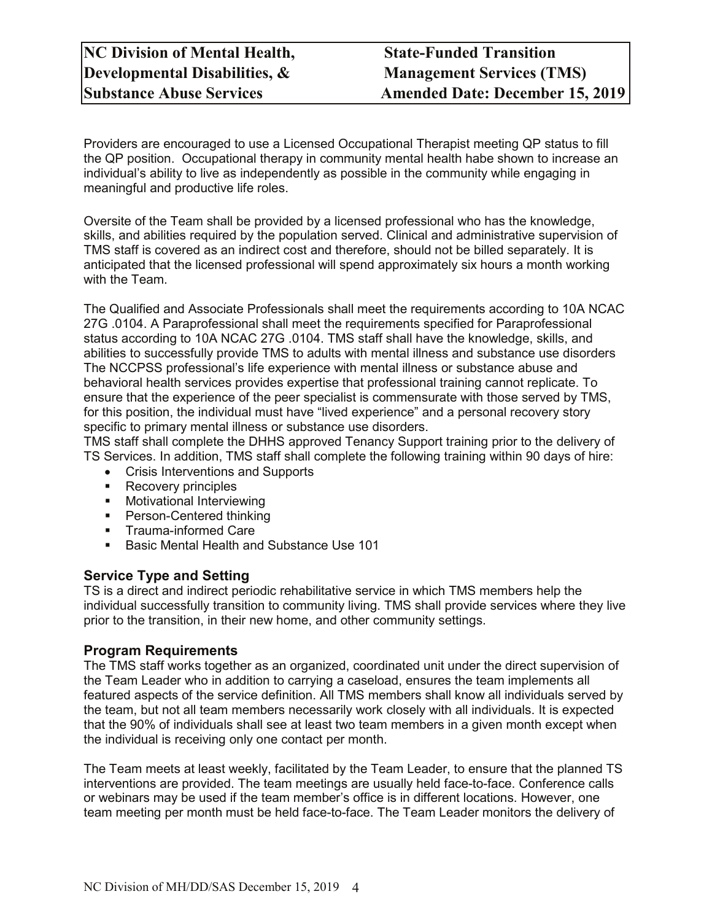Providers are encouraged to use a Licensed Occupational Therapist meeting QP status to fill the QP position. Occupational therapy in community mental health habe shown to increase an individual's ability to live as independently as possible in the community while engaging in meaningful and productive life roles.

Oversite of the Team shall be provided by a licensed professional who has the knowledge, skills, and abilities required by the population served. Clinical and administrative supervision of TMS staff is covered as an indirect cost and therefore, should not be billed separately. It is anticipated that the licensed professional will spend approximately six hours a month working with the Team.

The Qualified and Associate Professionals shall meet the requirements according to 10A NCAC 27G .0104. A Paraprofessional shall meet the requirements specified for Paraprofessional status according to 10A NCAC 27G .0104. TMS staff shall have the knowledge, skills, and abilities to successfully provide TMS to adults with mental illness and substance use disorders The NCCPSS professional's life experience with mental illness or substance abuse and behavioral health services provides expertise that professional training cannot replicate. To ensure that the experience of the peer specialist is commensurate with those served by TMS, for this position, the individual must have "lived experience" and a personal recovery story specific to primary mental illness or substance use disorders.

TMS staff shall complete the DHHS approved Tenancy Support training prior to the delivery of TS Services. In addition, TMS staff shall complete the following training within 90 days of hire:

- Crisis Interventions and Supports
- Recovery principles
- **•** Motivational Interviewing
- **Person-Centered thinking**
- **Trauma-informed Care**
- Basic Mental Health and Substance Use 101

#### **Service Type and Setting**

TS is a direct and indirect periodic rehabilitative service in which TMS members help the individual successfully transition to community living. TMS shall provide services where they live prior to the transition, in their new home, and other community settings.

#### **Program Requirements**

The TMS staff works together as an organized, coordinated unit under the direct supervision of the Team Leader who in addition to carrying a caseload, ensures the team implements all featured aspects of the service definition. All TMS members shall know all individuals served by the team, but not all team members necessarily work closely with all individuals. It is expected that the 90% of individuals shall see at least two team members in a given month except when the individual is receiving only one contact per month.

The Team meets at least weekly, facilitated by the Team Leader, to ensure that the planned TS interventions are provided. The team meetings are usually held face-to-face. Conference calls or webinars may be used if the team member's office is in different locations. However, one team meeting per month must be held face-to-face. The Team Leader monitors the delivery of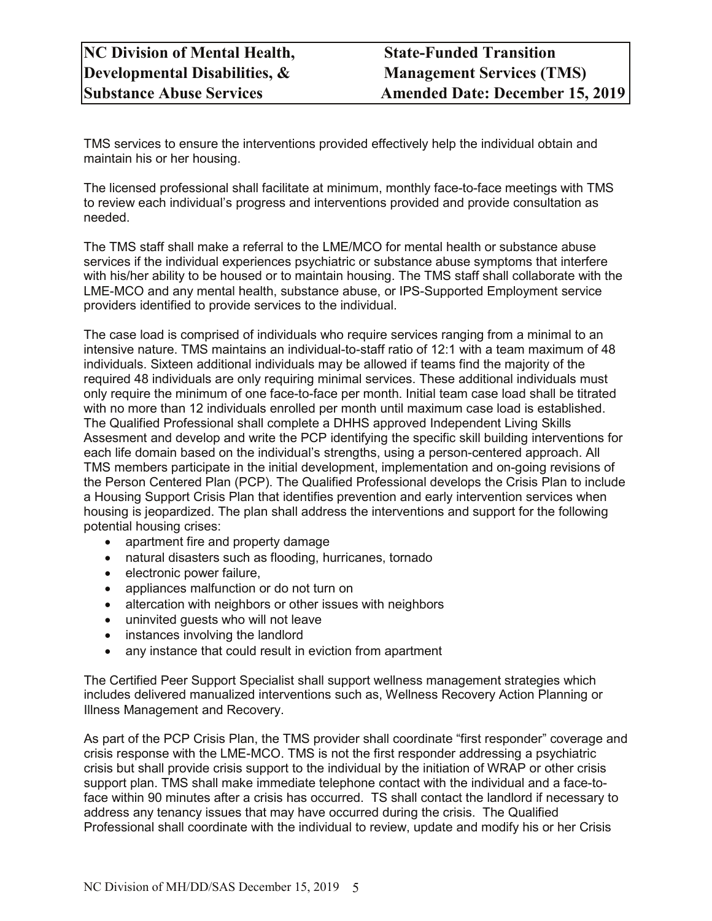TMS services to ensure the interventions provided effectively help the individual obtain and maintain his or her housing.

The licensed professional shall facilitate at minimum, monthly face-to-face meetings with TMS to review each individual's progress and interventions provided and provide consultation as needed.

The TMS staff shall make a referral to the LME/MCO for mental health or substance abuse services if the individual experiences psychiatric or substance abuse symptoms that interfere with his/her ability to be housed or to maintain housing. The TMS staff shall collaborate with the LME-MCO and any mental health, substance abuse, or IPS-Supported Employment service providers identified to provide services to the individual.

The case load is comprised of individuals who require services ranging from a minimal to an intensive nature. TMS maintains an individual-to-staff ratio of 12:1 with a team maximum of 48 individuals. Sixteen additional individuals may be allowed if teams find the majority of the required 48 individuals are only requiring minimal services. These additional individuals must only require the minimum of one face-to-face per month. Initial team case load shall be titrated with no more than 12 individuals enrolled per month until maximum case load is established. The Qualified Professional shall complete a DHHS approved Independent Living Skills Assesment and develop and write the PCP identifying the specific skill building interventions for each life domain based on the individual's strengths, using a person-centered approach. All TMS members participate in the initial development, implementation and on-going revisions of the Person Centered Plan (PCP). The Qualified Professional develops the Crisis Plan to include a Housing Support Crisis Plan that identifies prevention and early intervention services when housing is jeopardized. The plan shall address the interventions and support for the following potential housing crises:

- apartment fire and property damage
- natural disasters such as flooding, hurricanes, tornado
- electronic power failure,
- appliances malfunction or do not turn on
- altercation with neighbors or other issues with neighbors
- uninvited guests who will not leave
- instances involving the landlord
- any instance that could result in eviction from apartment

The Certified Peer Support Specialist shall support wellness management strategies which includes delivered manualized interventions such as, Wellness Recovery Action Planning or Illness Management and Recovery.

As part of the PCP Crisis Plan, the TMS provider shall coordinate "first responder" coverage and crisis response with the LME-MCO. TMS is not the first responder addressing a psychiatric crisis but shall provide crisis support to the individual by the initiation of WRAP or other crisis support plan. TMS shall make immediate telephone contact with the individual and a face-toface within 90 minutes after a crisis has occurred. TS shall contact the landlord if necessary to address any tenancy issues that may have occurred during the crisis. The Qualified Professional shall coordinate with the individual to review, update and modify his or her Crisis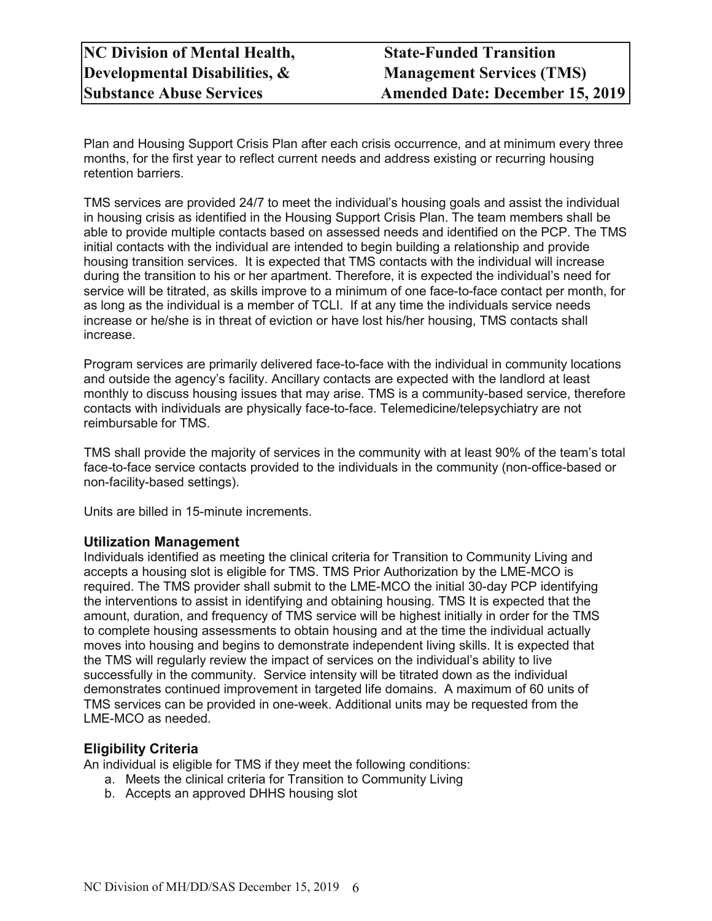Plan and Housing Support Crisis Plan after each crisis occurrence, and at minimum every three months, for the first year to reflect current needs and address existing or recurring housing retention barriers.

TMS services are provided 24/7 to meet the individual's housing goals and assist the individual in housing crisis as identified in the Housing Support Crisis Plan. The team members shall be able to provide multiple contacts based on assessed needs and identified on the PCP. The TMS initial contacts with the individual are intended to begin building a relationship and provide housing transition services. It is expected that TMS contacts with the individual will increase during the transition to his or her apartment. Therefore, it is expected the individual's need for service will be titrated, as skills improve to a minimum of one face-to-face contact per month, for as long as the individual is a member of TCLI. If at any time the individuals service needs increase or he/she is in threat of eviction or have lost his/her housing, TMS contacts shall increase.

Program services are primarily delivered face-to-face with the individual in community locations and outside the agency's facility. Ancillary contacts are expected with the landlord at least monthly to discuss housing issues that may arise. TMS is a community-based service, therefore contacts with individuals are physically face-to-face. Telemedicine/telepsychiatry are not reimbursable for TMS.

TMS shall provide the majority of services in the community with at least 90% of the team's total face-to-face service contacts provided to the individuals in the community (non-office-based or non-facility-based settings).

Units are billed in 15-minute increments.

# **Utilization Management**

Individuals identified as meeting the clinical criteria for Transition to Community Living and accepts a housing slot is eligible for TMS. TMS Prior Authorization by the LME-MCO is required. The TMS provider shall submit to the LME-MCO the initial 30-day PCP identifying the interventions to assist in identifying and obtaining housing. TMS It is expected that the amount, duration, and frequency of TMS service will be highest initially in order for the TMS to complete housing assessments to obtain housing and at the time the individual actually moves into housing and begins to demonstrate independent living skills. It is expected that the TMS will regularly review the impact of services on the individual's ability to live successfully in the community. Service intensity will be titrated down as the individual demonstrates continued improvement in targeted life domains. A maximum of 60 units of TMS services can be provided in one-week. Additional units may be requested from the LME-MCO as needed.

#### **Eligibility Criteria**

An individual is eligible for TMS if they meet the following conditions:

- a. Meets the clinical criteria for Transition to Community Living
- b. Accepts an approved DHHS housing slot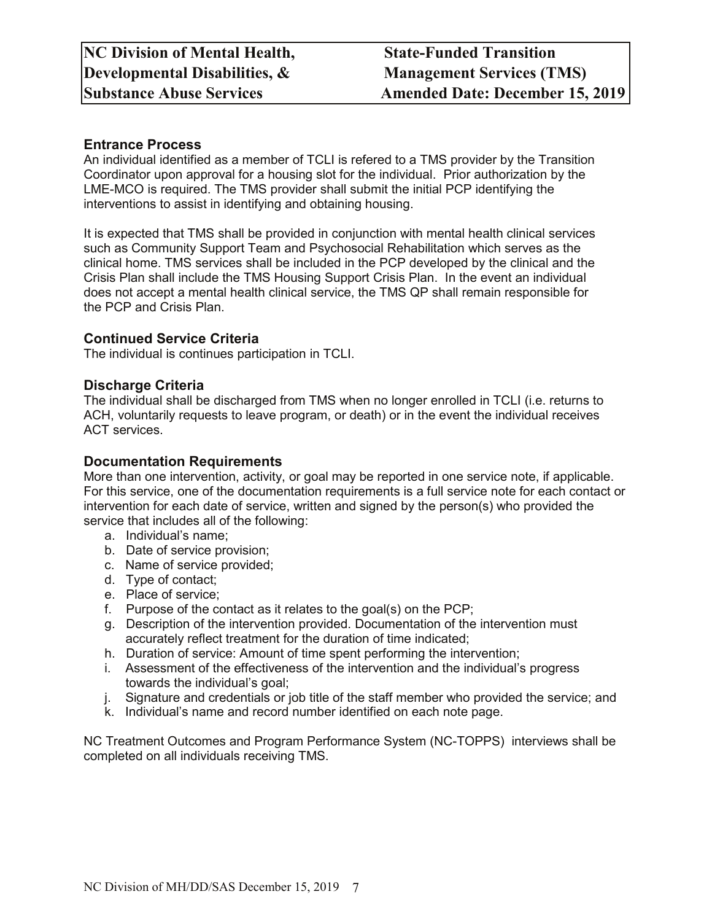## **Entrance Process**

An individual identified as a member of TCLI is refered to a TMS provider by the Transition Coordinator upon approval for a housing slot for the individual. Prior authorization by the LME-MCO is required. The TMS provider shall submit the initial PCP identifying the interventions to assist in identifying and obtaining housing.

It is expected that TMS shall be provided in conjunction with mental health clinical services such as Community Support Team and Psychosocial Rehabilitation which serves as the clinical home. TMS services shall be included in the PCP developed by the clinical and the Crisis Plan shall include the TMS Housing Support Crisis Plan. In the event an individual does not accept a mental health clinical service, the TMS QP shall remain responsible for the PCP and Crisis Plan.

### **Continued Service Criteria**

The individual is continues participation in TCLI.

#### **Discharge Criteria**

The individual shall be discharged from TMS when no longer enrolled in TCLI (i.e. returns to ACH, voluntarily requests to leave program, or death) or in the event the individual receives ACT services.

#### **Documentation Requirements**

More than one intervention, activity, or goal may be reported in one service note, if applicable. For this service, one of the documentation requirements is a full service note for each contact or intervention for each date of service, written and signed by the person(s) who provided the service that includes all of the following:

- a. Individual's name;
- b. Date of service provision;
- c. Name of service provided;
- d. Type of contact;
- e. Place of service;
- f. Purpose of the contact as it relates to the goal(s) on the PCP;
- g. Description of the intervention provided. Documentation of the intervention must accurately reflect treatment for the duration of time indicated;
- h. Duration of service: Amount of time spent performing the intervention;
- i. Assessment of the effectiveness of the intervention and the individual's progress towards the individual's goal;
- j. Signature and credentials or job title of the staff member who provided the service; and
- k. Individual's name and record number identified on each note page.

NC Treatment Outcomes and Program Performance System (NC-TOPPS) interviews shall be completed on all individuals receiving TMS.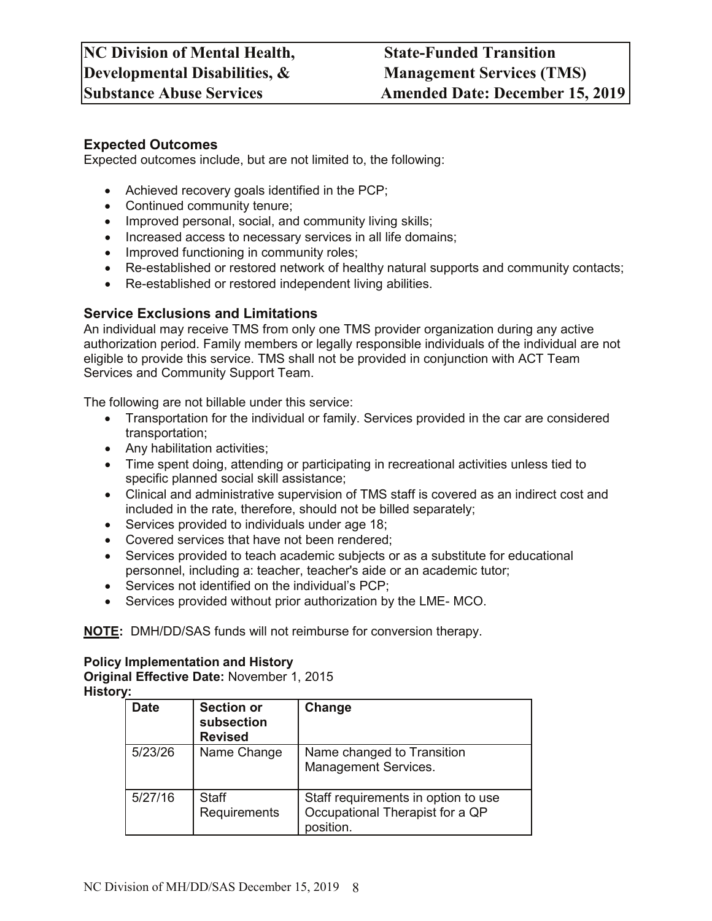## **Expected Outcomes**

Expected outcomes include, but are not limited to, the following:

- Achieved recovery goals identified in the PCP;
- Continued community tenure;
- Improved personal, social, and community living skills;
- Increased access to necessary services in all life domains;
- Improved functioning in community roles;
- Re-established or restored network of healthy natural supports and community contacts;
- Re-established or restored independent living abilities.

# **Service Exclusions and Limitations**

An individual may receive TMS from only one TMS provider organization during any active authorization period. Family members or legally responsible individuals of the individual are not eligible to provide this service. TMS shall not be provided in conjunction with ACT Team Services and Community Support Team.

The following are not billable under this service:

- Transportation for the individual or family. Services provided in the car are considered transportation;
- Any habilitation activities;
- Time spent doing, attending or participating in recreational activities unless tied to specific planned social skill assistance;
- Clinical and administrative supervision of TMS staff is covered as an indirect cost and included in the rate, therefore, should not be billed separately;
- Services provided to individuals under age 18;
- Covered services that have not been rendered;
- Services provided to teach academic subjects or as a substitute for educational personnel, including a: teacher, teacher's aide or an academic tutor;
- Services not identified on the individual's PCP;
- Services provided without prior authorization by the LME- MCO.

**NOTE:** DMH/DD/SAS funds will not reimburse for conversion therapy.

#### **Policy Implementation and History**

**Original Effective Date:** November 1, 2015 **History:**

| <b>Date</b> | <b>Section or</b><br>subsection<br><b>Revised</b> | Change                                                                              |
|-------------|---------------------------------------------------|-------------------------------------------------------------------------------------|
| 5/23/26     | Name Change                                       | Name changed to Transition<br>Management Services.                                  |
| 5/27/16     | <b>Staff</b><br>Requirements                      | Staff requirements in option to use<br>Occupational Therapist for a QP<br>position. |